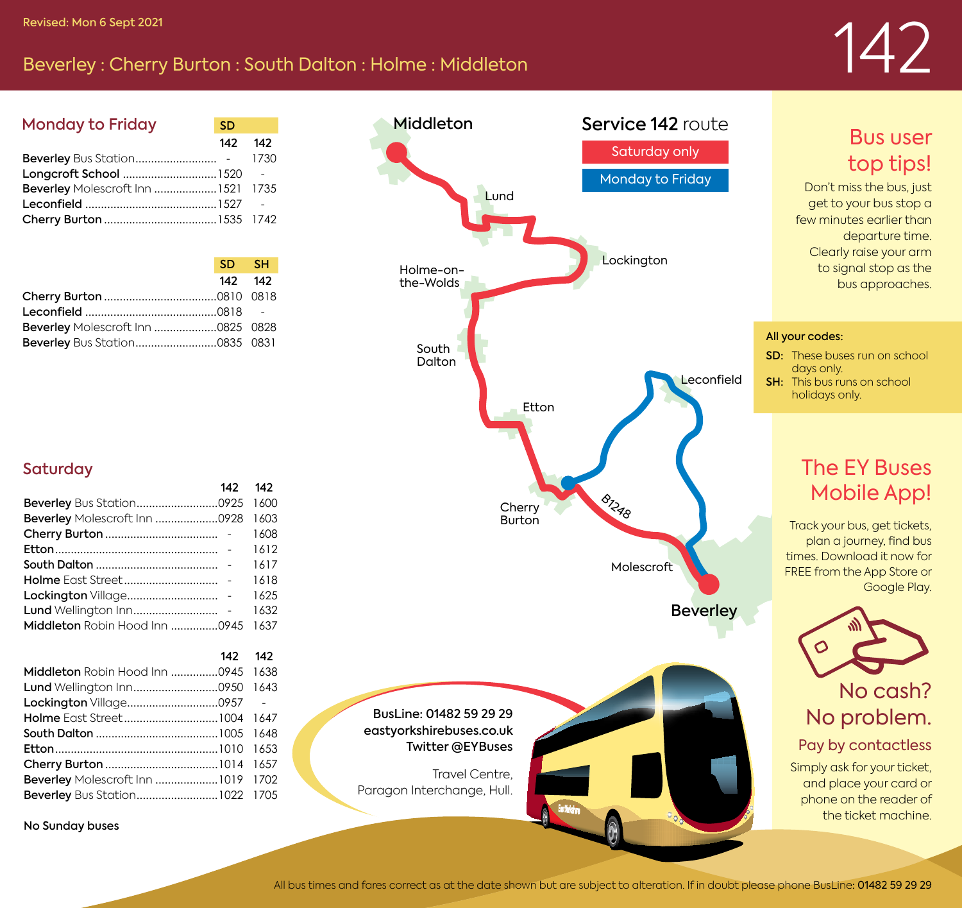# Revised: Mon 6 Sept 2021<br>Beverley : Cherry Burton : South Dalton : Holme : Middleton 142 Revised: Montey 142 Revised: Mon 6 Sept 2021

 $142 - 142$ 

| <b>Monday to Friday</b>           | <b>SD</b> |      |
|-----------------------------------|-----------|------|
|                                   | 142       | 142  |
|                                   |           | 1730 |
|                                   |           |      |
| Beverley Molescroft Inn 1521 1735 |           |      |
|                                   |           |      |
|                                   |           |      |
|                                   |           |      |

|                                   | SD SH   |  |
|-----------------------------------|---------|--|
|                                   | 142 142 |  |
|                                   |         |  |
|                                   |         |  |
| Beverley Molescroft Inn 0825 0828 |         |  |
|                                   |         |  |



## Bus user top tips!

Don't miss the bus, just get to your bus stop a few minutes earlier than departure time. Clearly raise your arm to signal stop as the bus approaches.

#### All your codes:

- SD: These buses run on school days only.
- **SH:** This bus runs on school holidays only.

# The EY Buses Mobile App!

Track your bus, get tickets, plan a journey, find bus times. Download it now for FREE from the App Store or Google Play.



No problem.

### Pay by contactless

Simply ask for your ticket, and place your card or phone on the reader of the ticket machine.

### **Saturday**

| Beverley Molescroft Inn 0928 1603  |      |
|------------------------------------|------|
|                                    | 1608 |
|                                    | 1612 |
|                                    | 1617 |
|                                    | 1618 |
|                                    | 1625 |
|                                    | 1632 |
| Middleton Robin Hood Inn 0945 1637 |      |
|                                    |      |

|                                    | 142 142 |  |
|------------------------------------|---------|--|
| Middleton Robin Hood Inn 0945 1638 |         |  |
|                                    |         |  |
|                                    |         |  |
|                                    |         |  |
|                                    |         |  |
|                                    |         |  |
|                                    |         |  |
| Beverley Molescroft Inn 1019 1702  |         |  |
| Beverley Bus Station1022 1705      |         |  |
|                                    |         |  |

No Sunday buses